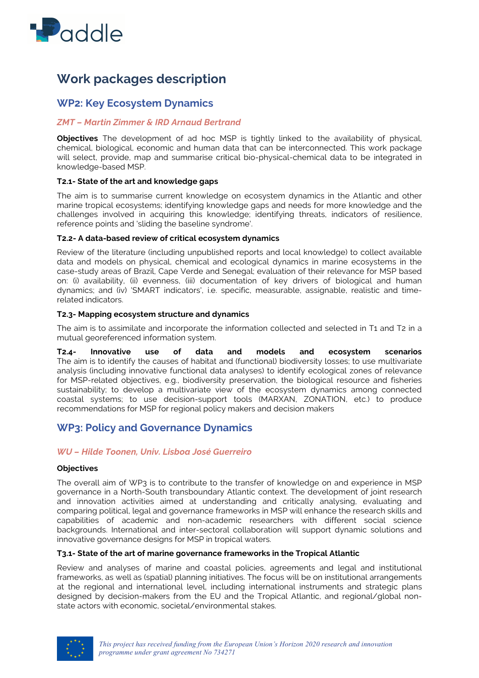

# **Work packages description**

# **WP2: Key Ecosystem Dynamics**

# *ZMT – Martin Zimmer & IRD Arnaud Bertrand*

**Objectives** The development of ad hoc MSP is tightly linked to the availability of physical, chemical, biological, economic and human data that can be interconnected. This work package will select, provide, map and summarise critical bio-physical-chemical data to be integrated in knowledge-based MSP.

### **T2.1- State of the art and knowledge gaps**

The aim is to summarise current knowledge on ecosystem dynamics in the Atlantic and other marine tropical ecosystems; identifying knowledge gaps and needs for more knowledge and the challenges involved in acquiring this knowledge; identifying threats, indicators of resilience, reference points and 'sliding the baseline syndrome'.

### **T2.2- A data-based review of critical ecosystem dynamics**

Review of the literature (including unpublished reports and local knowledge) to collect available data and models on physical, chemical and ecological dynamics in marine ecosystems in the case-study areas of Brazil, Cape Verde and Senegal; evaluation of their relevance for MSP based on: (i) availability, (ii) evenness, (iii) documentation of key drivers of biological and human dynamics; and (iv) 'SMART indicators', i.e. specific, measurable, assignable, realistic and timerelated indicators.

### **T2.3- Mapping ecosystem structure and dynamics**

The aim is to assimilate and incorporate the information collected and selected in T1 and T2 in a mutual georeferenced information system.

**T2.4- Innovative use of data and models and ecosystem scenarios** The aim is to identify the causes of habitat and (functional) biodiversity losses; to use multivariate analysis (including innovative functional data analyses) to identify ecological zones of relevance for MSP-related objectives, e.g., biodiversity preservation, the biological resource and fisheries sustainability; to develop a multivariate view of the ecosystem dynamics among connected coastal systems; to use decision-support tools (MARXAN, ZONATION, etc.) to produce recommendations for MSP for regional policy makers and decision makers

# **WP3: Policy and Governance Dynamics**

## *WU – Hilde Toonen, Univ. Lisboa José Guerreiro*

#### **Objectives**

The overall aim of WP3 is to contribute to the transfer of knowledge on and experience in MSP governance in a North-South transboundary Atlantic context. The development of joint research and innovation activities aimed at understanding and critically analysing, evaluating and comparing political, legal and governance frameworks in MSP will enhance the research skills and capabilities of academic and non-academic researchers with different social science backgrounds. International and inter-sectoral collaboration will support dynamic solutions and innovative governance designs for MSP in tropical waters.

#### **T3.1- State of the art of marine governance frameworks in the Tropical Atlantic**

Review and analyses of marine and coastal policies, agreements and legal and institutional frameworks, as well as (spatial) planning initiatives. The focus will be on institutional arrangements at the regional and international level, including international instruments and strategic plans designed by decision-makers from the EU and the Tropical Atlantic, and regional/global nonstate actors with economic, societal/environmental stakes.

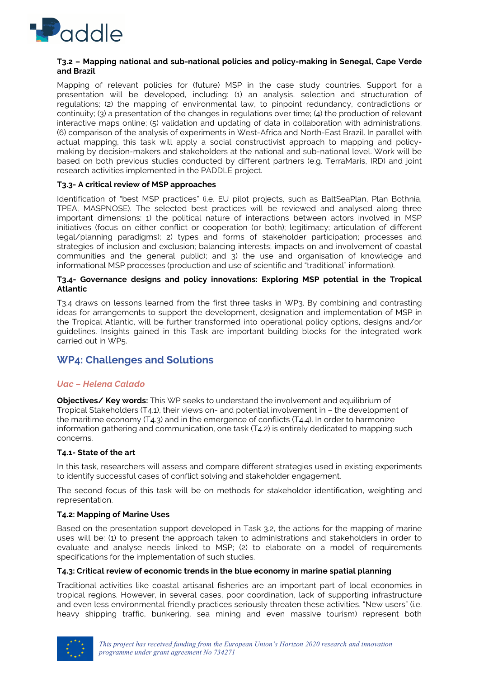

#### **T3.2 – Mapping national and sub-national policies and policy-making in Senegal, Cape Verde and Brazil**

Mapping of relevant policies for (future) MSP in the case study countries. Support for a presentation will be developed, including: (1) an analysis, selection and structuration of regulations; (2) the mapping of environmental law, to pinpoint redundancy, contradictions or continuity; (3) a presentation of the changes in regulations over time; (4) the production of relevant interactive maps online; (5) validation and updating of data in collaboration with administrations; (6) comparison of the analysis of experiments in West-Africa and North-East Brazil. In parallel with actual mapping, this task will apply a social constructivist approach to mapping and policymaking by decision-makers and stakeholders at the national and sub-national level. Work will be based on both previous studies conducted by different partners (e.g. TerraMaris, IRD) and joint research activities implemented in the PADDLE project.

#### **T3.3- A critical review of MSP approaches**

Identification of "best MSP practices" (i.e. EU pilot projects, such as BaltSeaPlan, Plan Bothnia, TPEA, MASPNOSE). The selected best practices will be reviewed and analysed along three important dimensions: 1) the political nature of interactions between actors involved in MSP initiatives (focus on either conflict or cooperation (or both); legitimacy; articulation of different legal/planning paradigms); 2) types and forms of stakeholder participation; processes and strategies of inclusion and exclusion; balancing interests; impacts on and involvement of coastal communities and the general public); and 3) the use and organisation of knowledge and informational MSP processes (production and use of scientific and "traditional" information).

#### **T3.4- Governance designs and policy innovations: Exploring MSP potential in the Tropical Atlantic**

T3.4 draws on lessons learned from the first three tasks in WP3. By combining and contrasting ideas for arrangements to support the development, designation and implementation of MSP in the Tropical Atlantic, will be further transformed into operational policy options, designs and/or guidelines. Insights gained in this Task are important building blocks for the integrated work carried out in WP5.

# **WP4: Challenges and Solutions**

#### *Uac – Helena Calado*

**Objectives/ Key words:** This WP seeks to understand the involvement and equilibrium of Tropical Stakeholders (T4.1), their views on- and potential involvement in – the development of the maritime economy (T4.3) and in the emergence of conflicts (T4.4). In order to harmonize information gathering and communication, one task (T4.2) is entirely dedicated to mapping such concerns.

#### **T4.1- State of the art**

In this task, researchers will assess and compare different strategies used in existing experiments to identify successful cases of conflict solving and stakeholder engagement.

The second focus of this task will be on methods for stakeholder identification, weighting and representation.

#### **T4.2: Mapping of Marine Uses**

Based on the presentation support developed in Task 3.2, the actions for the mapping of marine uses will be: (1) to present the approach taken to administrations and stakeholders in order to evaluate and analyse needs linked to MSP; (2) to elaborate on a model of requirements specifications for the implementation of such studies.

#### **T4.3: Critical review of economic trends in the blue economy in marine spatial planning**

Traditional activities like coastal artisanal fisheries are an important part of local economies in tropical regions. However, in several cases, poor coordination, lack of supporting infrastructure and even less environmental friendly practices seriously threaten these activities. "New users" (i.e. heavy shipping traffic, bunkering, sea mining and even massive tourism) represent both

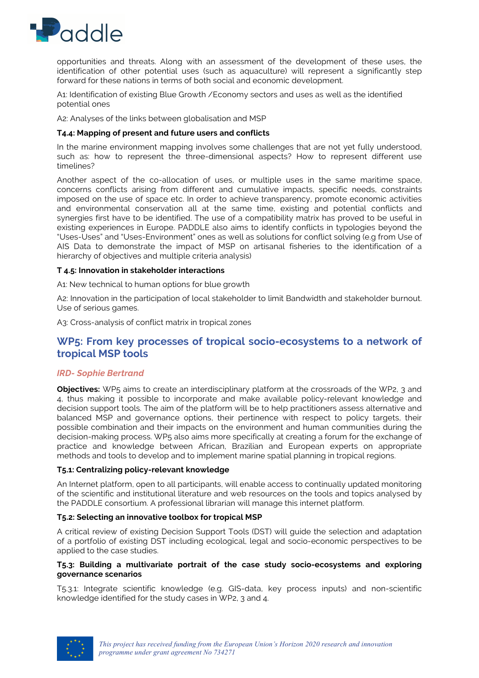

opportunities and threats. Along with an assessment of the development of these uses, the identification of other potential uses (such as aquaculture) will represent a significantly step forward for these nations in terms of both social and economic development.

A1: Identification of existing Blue Growth /Economy sectors and uses as well as the identified potential ones

A2: Analyses of the links between globalisation and MSP

#### **T4.4: Mapping of present and future users and conflicts**

In the marine environment mapping involves some challenges that are not yet fully understood, such as: how to represent the three-dimensional aspects? How to represent different use timelines?

Another aspect of the co-allocation of uses, or multiple uses in the same maritime space, concerns conflicts arising from different and cumulative impacts, specific needs, constraints imposed on the use of space etc. In order to achieve transparency, promote economic activities and environmental conservation all at the same time, existing and potential conflicts and synergies first have to be identified. The use of a compatibility matrix has proved to be useful in existing experiences in Europe. PADDLE also aims to identify conflicts in typologies beyond the "Uses-Uses" and "Uses-Environment" ones as well as solutions for conflict solving (e.g from Use of AIS Data to demonstrate the impact of MSP on artisanal fisheries to the identification of a hierarchy of objectives and multiple criteria analysis)

#### **T 4.5: Innovation in stakeholder interactions**

A1: New technical to human options for blue growth

A2: Innovation in the participation of local stakeholder to limit Bandwidth and stakeholder burnout. Use of serious games.

A3: Cross-analysis of conflict matrix in tropical zones

# **WP5: From key processes of tropical socio-ecosystems to a network of tropical MSP tools**

## *IRD- Sophie Bertrand*

**Objectives:** WP5 aims to create an interdisciplinary platform at the crossroads of the WP2, 3 and 4, thus making it possible to incorporate and make available policy-relevant knowledge and decision support tools. The aim of the platform will be to help practitioners assess alternative and balanced MSP and governance options, their pertinence with respect to policy targets, their possible combination and their impacts on the environment and human communities during the decision-making process. WP5 also aims more specifically at creating a forum for the exchange of practice and knowledge between African, Brazilian and European experts on appropriate methods and tools to develop and to implement marine spatial planning in tropical regions.

#### **T5.1: Centralizing policy-relevant knowledge**

An Internet platform, open to all participants, will enable access to continually updated monitoring of the scientific and institutional literature and web resources on the tools and topics analysed by the PADDLE consortium. A professional librarian will manage this internet platform.

#### **T5.2: Selecting an innovative toolbox for tropical MSP**

A critical review of existing Decision Support Tools (DST) will guide the selection and adaptation of a portfolio of existing DST including ecological, legal and socio-economic perspectives to be applied to the case studies.

#### **T5.3: Building a multivariate portrait of the case study socio-ecosystems and exploring governance scenarios**

T5.3.1: Integrate scientific knowledge (e.g. GIS-data, key process inputs) and non-scientific knowledge identified for the study cases in WP2, 3 and 4.